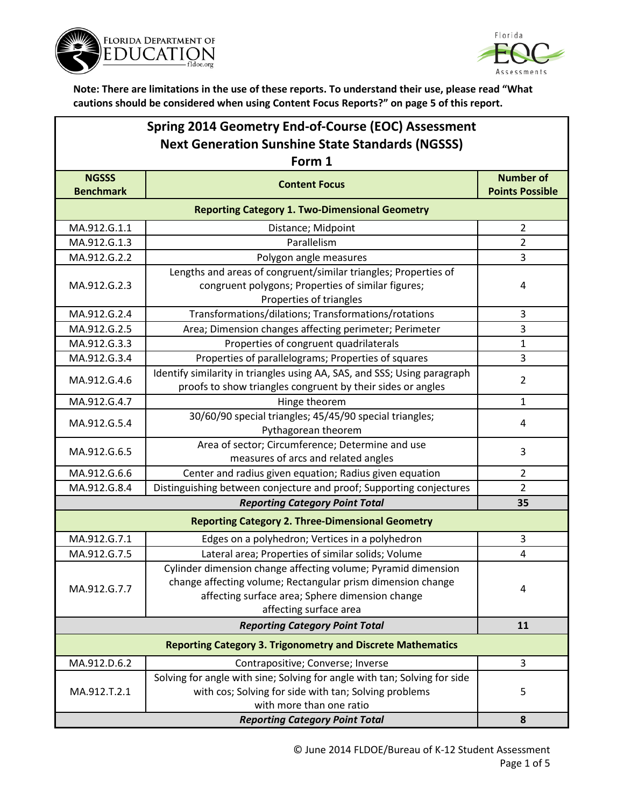



| Spring 2014 Geometry End-of-Course (EOC) Assessment     |
|---------------------------------------------------------|
| <b>Next Generation Sunshine State Standards (NGSSS)</b> |

| Form 1                                                |                                                                                                                                                                                                           |                                            |  |  |
|-------------------------------------------------------|-----------------------------------------------------------------------------------------------------------------------------------------------------------------------------------------------------------|--------------------------------------------|--|--|
| <b>NGSSS</b><br><b>Benchmark</b>                      | <b>Content Focus</b>                                                                                                                                                                                      | <b>Number of</b><br><b>Points Possible</b> |  |  |
| <b>Reporting Category 1. Two-Dimensional Geometry</b> |                                                                                                                                                                                                           |                                            |  |  |
| MA.912.G.1.1                                          | Distance; Midpoint                                                                                                                                                                                        | $\overline{2}$                             |  |  |
| MA.912.G.1.3                                          | Parallelism                                                                                                                                                                                               | $\overline{2}$                             |  |  |
| MA.912.G.2.2                                          | Polygon angle measures                                                                                                                                                                                    | 3                                          |  |  |
| MA.912.G.2.3                                          | Lengths and areas of congruent/similar triangles; Properties of<br>congruent polygons; Properties of similar figures;                                                                                     | 4                                          |  |  |
| MA.912.G.2.4                                          | Properties of triangles<br>Transformations/dilations; Transformations/rotations                                                                                                                           | 3                                          |  |  |
| MA.912.G.2.5                                          | Area; Dimension changes affecting perimeter; Perimeter                                                                                                                                                    | 3                                          |  |  |
| MA.912.G.3.3                                          | Properties of congruent quadrilaterals                                                                                                                                                                    | $\mathbf{1}$                               |  |  |
| MA.912.G.3.4                                          | Properties of parallelograms; Properties of squares                                                                                                                                                       | 3                                          |  |  |
| MA.912.G.4.6                                          | Identify similarity in triangles using AA, SAS, and SSS; Using paragraph<br>proofs to show triangles congruent by their sides or angles                                                                   | $\overline{2}$                             |  |  |
| MA.912.G.4.7                                          | Hinge theorem                                                                                                                                                                                             | $\mathbf{1}$                               |  |  |
| MA.912.G.5.4                                          | 30/60/90 special triangles; 45/45/90 special triangles;<br>Pythagorean theorem                                                                                                                            | 4                                          |  |  |
| MA.912.G.6.5                                          | Area of sector; Circumference; Determine and use<br>measures of arcs and related angles                                                                                                                   | 3                                          |  |  |
| MA.912.G.6.6                                          | Center and radius given equation; Radius given equation                                                                                                                                                   | $\overline{2}$                             |  |  |
| MA.912.G.8.4                                          | Distinguishing between conjecture and proof; Supporting conjectures                                                                                                                                       | $\overline{2}$                             |  |  |
| <b>Reporting Category Point Total</b>                 |                                                                                                                                                                                                           | 35                                         |  |  |
|                                                       | <b>Reporting Category 2. Three-Dimensional Geometry</b>                                                                                                                                                   |                                            |  |  |
| MA.912.G.7.1                                          | Edges on a polyhedron; Vertices in a polyhedron                                                                                                                                                           | 3                                          |  |  |
| MA.912.G.7.5                                          | Lateral area; Properties of similar solids; Volume                                                                                                                                                        | $\overline{\mathbf{4}}$                    |  |  |
| MA.912.G.7.7                                          | Cylinder dimension change affecting volume; Pyramid dimension<br>change affecting volume; Rectangular prism dimension change<br>affecting surface area; Sphere dimension change<br>affecting surface area | 4                                          |  |  |
| <b>Reporting Category Point Total</b>                 |                                                                                                                                                                                                           | 11                                         |  |  |
|                                                       | <b>Reporting Category 3. Trigonometry and Discrete Mathematics</b>                                                                                                                                        |                                            |  |  |
| MA.912.D.6.2                                          | Contrapositive; Converse; Inverse                                                                                                                                                                         | 3                                          |  |  |
| MA.912.T.2.1                                          | Solving for angle with sine; Solving for angle with tan; Solving for side<br>with cos; Solving for side with tan; Solving problems<br>with more than one ratio                                            | 5                                          |  |  |
|                                                       | 8                                                                                                                                                                                                         |                                            |  |  |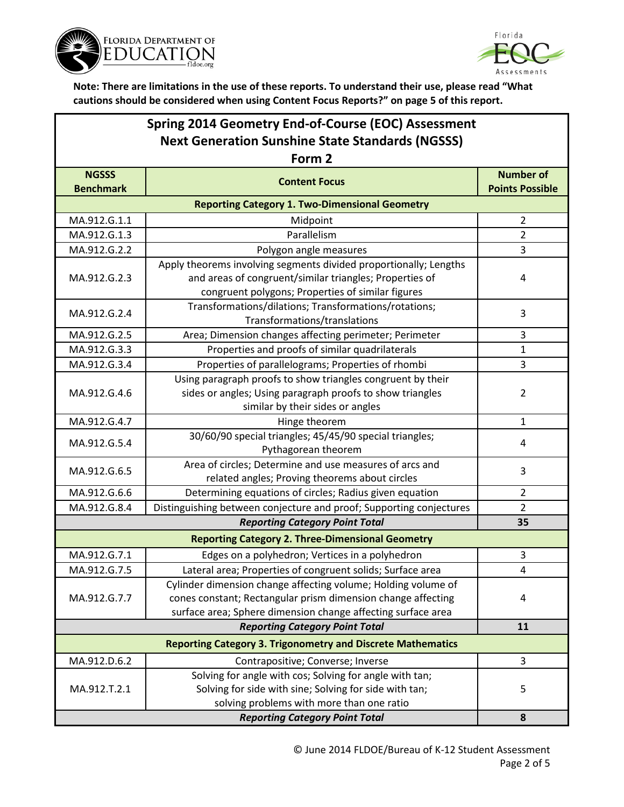



| Spring 2014 Geometry End-of-Course (EOC) Assessment                |                                                                                                                                |                        |  |  |
|--------------------------------------------------------------------|--------------------------------------------------------------------------------------------------------------------------------|------------------------|--|--|
| <b>Next Generation Sunshine State Standards (NGSSS)</b>            |                                                                                                                                |                        |  |  |
| Form 2                                                             |                                                                                                                                |                        |  |  |
| <b>NGSSS</b>                                                       | <b>Content Focus</b>                                                                                                           | <b>Number of</b>       |  |  |
| <b>Benchmark</b>                                                   |                                                                                                                                | <b>Points Possible</b> |  |  |
|                                                                    | <b>Reporting Category 1. Two-Dimensional Geometry</b>                                                                          |                        |  |  |
| MA.912.G.1.1                                                       | Midpoint                                                                                                                       | $\overline{2}$         |  |  |
| MA.912.G.1.3                                                       | Parallelism                                                                                                                    | 2                      |  |  |
| MA.912.G.2.2                                                       | Polygon angle measures                                                                                                         | 3                      |  |  |
|                                                                    | Apply theorems involving segments divided proportionally; Lengths                                                              |                        |  |  |
| MA.912.G.2.3                                                       | and areas of congruent/similar triangles; Properties of                                                                        | 4                      |  |  |
|                                                                    | congruent polygons; Properties of similar figures                                                                              |                        |  |  |
| MA.912.G.2.4                                                       | Transformations/dilations; Transformations/rotations;                                                                          | 3                      |  |  |
|                                                                    | Transformations/translations                                                                                                   |                        |  |  |
| MA.912.G.2.5                                                       | Area; Dimension changes affecting perimeter; Perimeter                                                                         | 3                      |  |  |
| MA.912.G.3.3                                                       | Properties and proofs of similar quadrilaterals                                                                                | 1                      |  |  |
| MA.912.G.3.4                                                       | Properties of parallelograms; Properties of rhombi                                                                             | 3                      |  |  |
|                                                                    | Using paragraph proofs to show triangles congruent by their                                                                    |                        |  |  |
| MA.912.G.4.6                                                       | sides or angles; Using paragraph proofs to show triangles                                                                      | $\overline{2}$         |  |  |
|                                                                    | similar by their sides or angles                                                                                               |                        |  |  |
| MA.912.G.4.7                                                       | Hinge theorem                                                                                                                  | 1                      |  |  |
| MA.912.G.5.4                                                       | 30/60/90 special triangles; 45/45/90 special triangles;                                                                        | 4                      |  |  |
|                                                                    | Pythagorean theorem                                                                                                            |                        |  |  |
| MA.912.G.6.5                                                       | Area of circles; Determine and use measures of arcs and                                                                        | 3                      |  |  |
| MA.912.G.6.6                                                       | related angles; Proving theorems about circles                                                                                 | $\overline{2}$         |  |  |
| MA.912.G.8.4                                                       | Determining equations of circles; Radius given equation<br>Distinguishing between conjecture and proof; Supporting conjectures | $\overline{2}$         |  |  |
|                                                                    | <b>Reporting Category Point Total</b>                                                                                          | 35                     |  |  |
|                                                                    | <b>Reporting Category 2. Three-Dimensional Geometry</b>                                                                        |                        |  |  |
| MA.912.G.7.1                                                       | Edges on a polyhedron; Vertices in a polyhedron                                                                                | 3                      |  |  |
| MA.912.G.7.5                                                       | Lateral area; Properties of congruent solids; Surface area                                                                     | Δ                      |  |  |
|                                                                    | Cylinder dimension change affecting volume; Holding volume of                                                                  |                        |  |  |
| MA.912.G.7.7                                                       | cones constant; Rectangular prism dimension change affecting                                                                   | 4                      |  |  |
|                                                                    | surface area; Sphere dimension change affecting surface area                                                                   |                        |  |  |
|                                                                    | <b>Reporting Category Point Total</b>                                                                                          | 11                     |  |  |
| <b>Reporting Category 3. Trigonometry and Discrete Mathematics</b> |                                                                                                                                |                        |  |  |
| MA.912.D.6.2                                                       | Contrapositive; Converse; Inverse                                                                                              | 3                      |  |  |
|                                                                    | Solving for angle with cos; Solving for angle with tan;                                                                        |                        |  |  |
| MA.912.T.2.1                                                       | Solving for side with sine; Solving for side with tan;                                                                         | 5                      |  |  |
|                                                                    | solving problems with more than one ratio                                                                                      |                        |  |  |
| <b>Reporting Category Point Total</b>                              |                                                                                                                                |                        |  |  |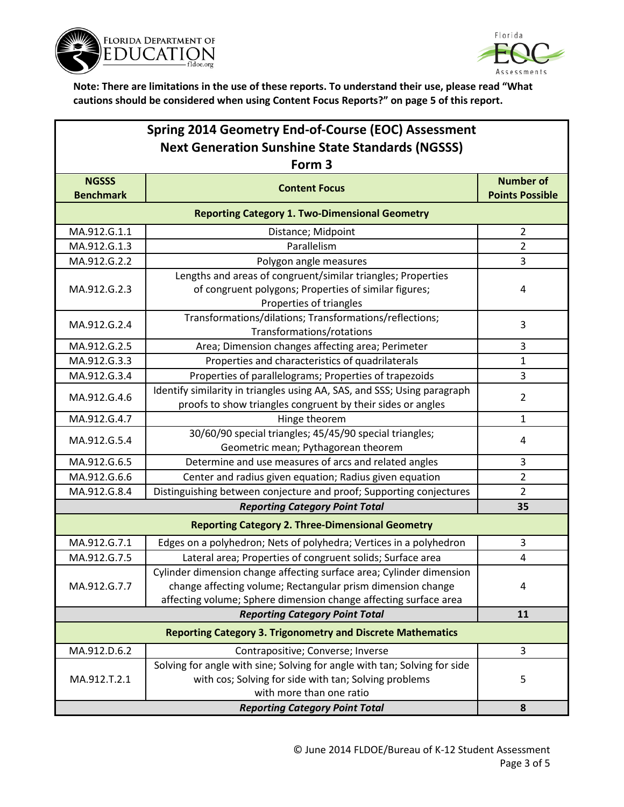



## **Spring 2014 Geometry End-of-Course (EOC) Assessment Next Generation Sunshine State Standards (NGSSS) Form 3**

| гиш э                                                              |                                                                                                              |                                            |  |  |
|--------------------------------------------------------------------|--------------------------------------------------------------------------------------------------------------|--------------------------------------------|--|--|
| <b>NGSSS</b><br><b>Benchmark</b>                                   | <b>Content Focus</b>                                                                                         | <b>Number of</b><br><b>Points Possible</b> |  |  |
| <b>Reporting Category 1. Two-Dimensional Geometry</b>              |                                                                                                              |                                            |  |  |
| MA.912.G.1.1                                                       | Distance; Midpoint                                                                                           | $\overline{2}$                             |  |  |
| MA.912.G.1.3                                                       | Parallelism                                                                                                  | $\overline{2}$                             |  |  |
| MA.912.G.2.2                                                       | Polygon angle measures                                                                                       | 3                                          |  |  |
| MA.912.G.2.3                                                       | Lengths and areas of congruent/similar triangles; Properties                                                 |                                            |  |  |
|                                                                    | of congruent polygons; Properties of similar figures;                                                        | 4                                          |  |  |
|                                                                    | Properties of triangles                                                                                      |                                            |  |  |
| MA.912.G.2.4                                                       | Transformations/dilations; Transformations/reflections;<br>Transformations/rotations                         | 3                                          |  |  |
| MA.912.G.2.5                                                       | Area; Dimension changes affecting area; Perimeter                                                            | 3                                          |  |  |
| MA.912.G.3.3                                                       | Properties and characteristics of quadrilaterals                                                             | $\mathbf{1}$                               |  |  |
| MA.912.G.3.4                                                       | Properties of parallelograms; Properties of trapezoids                                                       | 3                                          |  |  |
| MA.912.G.4.6                                                       | Identify similarity in triangles using AA, SAS, and SSS; Using paragraph                                     | $\overline{2}$                             |  |  |
|                                                                    | proofs to show triangles congruent by their sides or angles                                                  |                                            |  |  |
| MA.912.G.4.7                                                       | Hinge theorem                                                                                                | $\mathbf{1}$                               |  |  |
| MA.912.G.5.4                                                       | 30/60/90 special triangles; 45/45/90 special triangles;                                                      | 4                                          |  |  |
|                                                                    | Geometric mean; Pythagorean theorem                                                                          |                                            |  |  |
| MA.912.G.6.5                                                       | Determine and use measures of arcs and related angles                                                        | 3                                          |  |  |
| MA.912.G.6.6                                                       | Center and radius given equation; Radius given equation                                                      | $\overline{2}$                             |  |  |
| MA.912.G.8.4                                                       | Distinguishing between conjecture and proof; Supporting conjectures<br><b>Reporting Category Point Total</b> | $\overline{2}$                             |  |  |
|                                                                    | 35                                                                                                           |                                            |  |  |
|                                                                    | <b>Reporting Category 2. Three-Dimensional Geometry</b>                                                      |                                            |  |  |
| MA.912.G.7.1                                                       | Edges on a polyhedron; Nets of polyhedra; Vertices in a polyhedron                                           | 3                                          |  |  |
| MA.912.G.7.5                                                       | Lateral area; Properties of congruent solids; Surface area                                                   | $\overline{\mathbf{4}}$                    |  |  |
| MA.912.G.7.7                                                       | Cylinder dimension change affecting surface area; Cylinder dimension                                         |                                            |  |  |
|                                                                    | change affecting volume; Rectangular prism dimension change                                                  | 4                                          |  |  |
|                                                                    | affecting volume; Sphere dimension change affecting surface area                                             |                                            |  |  |
| <b>Reporting Category Point Total</b>                              |                                                                                                              | 11                                         |  |  |
| <b>Reporting Category 3. Trigonometry and Discrete Mathematics</b> |                                                                                                              |                                            |  |  |
| MA.912.D.6.2                                                       | Contrapositive; Converse; Inverse                                                                            | 3                                          |  |  |
|                                                                    | Solving for angle with sine; Solving for angle with tan; Solving for side                                    |                                            |  |  |
| MA.912.T.2.1                                                       | with cos; Solving for side with tan; Solving problems                                                        | 5                                          |  |  |
|                                                                    | with more than one ratio<br><b>Reporting Category Point Total</b>                                            |                                            |  |  |
|                                                                    | 8                                                                                                            |                                            |  |  |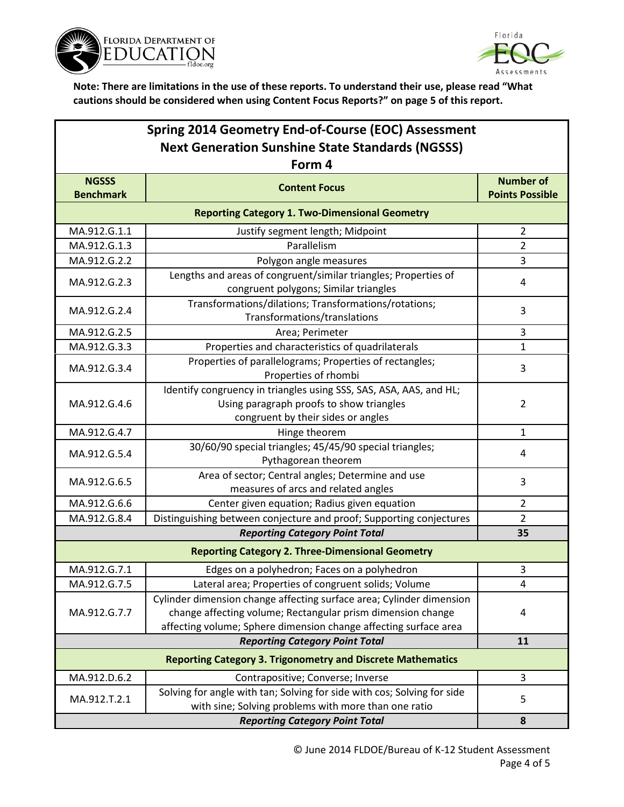



# **Spring 2014 Geometry End-of-Course (EOC) Assessment Next Generation Sunshine State Standards (NGSSS) Form 4**

| FOrm 4                                                             |                                                                         |                                            |  |  |
|--------------------------------------------------------------------|-------------------------------------------------------------------------|--------------------------------------------|--|--|
| <b>NGSSS</b><br><b>Benchmark</b>                                   | <b>Content Focus</b>                                                    | <b>Number of</b><br><b>Points Possible</b> |  |  |
| <b>Reporting Category 1. Two-Dimensional Geometry</b>              |                                                                         |                                            |  |  |
| MA.912.G.1.1                                                       | Justify segment length; Midpoint                                        | $\overline{2}$                             |  |  |
| MA.912.G.1.3                                                       | Parallelism                                                             | $\overline{2}$                             |  |  |
| MA.912.G.2.2                                                       | Polygon angle measures                                                  | 3                                          |  |  |
|                                                                    | Lengths and areas of congruent/similar triangles; Properties of         |                                            |  |  |
| MA.912.G.2.3                                                       | congruent polygons; Similar triangles                                   | 4                                          |  |  |
|                                                                    | Transformations/dilations; Transformations/rotations;                   |                                            |  |  |
| MA.912.G.2.4                                                       | Transformations/translations                                            | 3                                          |  |  |
| MA.912.G.2.5                                                       | Area; Perimeter                                                         | 3                                          |  |  |
| MA.912.G.3.3                                                       |                                                                         |                                            |  |  |
|                                                                    | Properties and characteristics of quadrilaterals                        | 1                                          |  |  |
| MA.912.G.3.4                                                       | Properties of parallelograms; Properties of rectangles;                 | 3                                          |  |  |
|                                                                    | Properties of rhombi                                                    |                                            |  |  |
|                                                                    | Identify congruency in triangles using SSS, SAS, ASA, AAS, and HL;      | 2                                          |  |  |
| MA.912.G.4.6                                                       | Using paragraph proofs to show triangles                                |                                            |  |  |
|                                                                    | congruent by their sides or angles                                      |                                            |  |  |
| MA.912.G.4.7                                                       | Hinge theorem                                                           | 1                                          |  |  |
| MA.912.G.5.4                                                       | 30/60/90 special triangles; 45/45/90 special triangles;                 | 4                                          |  |  |
|                                                                    | Pythagorean theorem                                                     |                                            |  |  |
| MA.912.G.6.5                                                       | Area of sector; Central angles; Determine and use                       | 3                                          |  |  |
|                                                                    | measures of arcs and related angles                                     |                                            |  |  |
| MA.912.G.6.6                                                       | Center given equation; Radius given equation                            | 2                                          |  |  |
| MA.912.G.8.4                                                       | Distinguishing between conjecture and proof; Supporting conjectures     | $\overline{2}$                             |  |  |
|                                                                    | <b>Reporting Category Point Total</b>                                   | 35                                         |  |  |
|                                                                    | <b>Reporting Category 2. Three-Dimensional Geometry</b>                 |                                            |  |  |
| MA.912.G.7.1                                                       | Edges on a polyhedron; Faces on a polyhedron                            | 3                                          |  |  |
| MA.912.G.7.5                                                       | Lateral area; Properties of congruent solids; Volume                    | 4                                          |  |  |
| MA.912.G.7.7                                                       | Cylinder dimension change affecting surface area; Cylinder dimension    | 4                                          |  |  |
|                                                                    | change affecting volume; Rectangular prism dimension change             |                                            |  |  |
|                                                                    | affecting volume; Sphere dimension change affecting surface area        |                                            |  |  |
|                                                                    | 11                                                                      |                                            |  |  |
| <b>Reporting Category 3. Trigonometry and Discrete Mathematics</b> |                                                                         |                                            |  |  |
| MA.912.D.6.2                                                       | Contrapositive; Converse; Inverse                                       | 3                                          |  |  |
| MA.912.T.2.1                                                       | Solving for angle with tan; Solving for side with cos; Solving for side |                                            |  |  |
|                                                                    | with sine; Solving problems with more than one ratio                    | 5                                          |  |  |
|                                                                    | 8                                                                       |                                            |  |  |